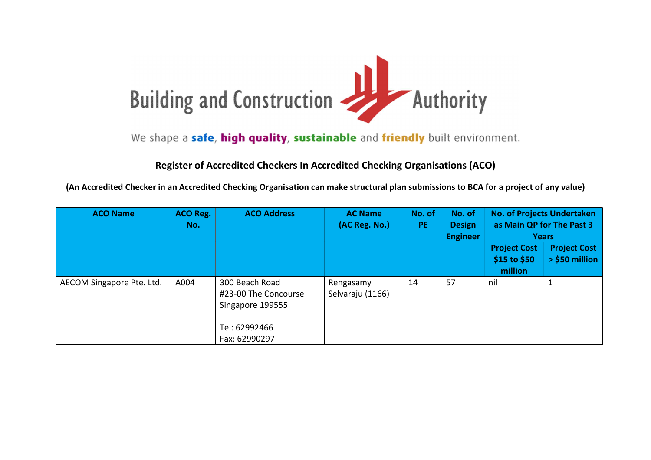

We shape a safe, high quality, sustainable and friendly built environment.

## Register of Accredited Checkers In Accredited Checking Organisations (ACO)

(An Accredited Checker in an Accredited Checking Organisation can make structural plan submissions to BCA for a project of any value)

| <b>ACO Name</b>           | <b>ACO Reg.</b><br>No. | <b>ACO Address</b>                                                                           | <b>AC Name</b><br>(AC Reg. No.) | No. of<br><b>PE</b> | No. of<br><b>Design</b><br><b>Engineer</b> | as Main QP for The Past 3<br><b>Project Cost</b><br>\$15 to \$50<br>million | <b>No. of Projects Undertaken</b><br><b>Years</b><br><b>Project Cost</b><br>> \$50 million |
|---------------------------|------------------------|----------------------------------------------------------------------------------------------|---------------------------------|---------------------|--------------------------------------------|-----------------------------------------------------------------------------|--------------------------------------------------------------------------------------------|
| AECOM Singapore Pte. Ltd. | A004                   | 300 Beach Road<br>#23-00 The Concourse<br>Singapore 199555<br>Tel: 62992466<br>Fax: 62990297 | Rengasamy<br>Selvaraju (1166)   | 14                  | 57                                         | nil                                                                         |                                                                                            |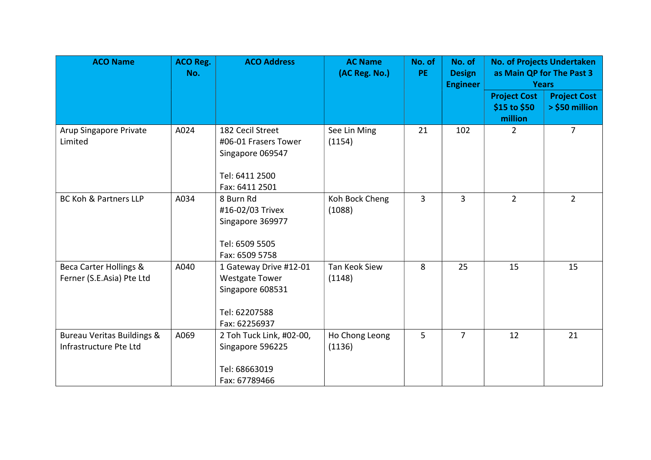| <b>ACO Name</b>                                                 | <b>ACO Reg.</b><br>No. | <b>ACO Address</b>                                                                                    | <b>AC Name</b><br>(AC Reg. No.) | No. of<br>PE.  | No. of<br><b>Design</b><br><b>Engineer</b> | <b>No. of Projects Undertaken</b><br>as Main QP for The Past 3<br><b>Years</b> |                                       |
|-----------------------------------------------------------------|------------------------|-------------------------------------------------------------------------------------------------------|---------------------------------|----------------|--------------------------------------------|--------------------------------------------------------------------------------|---------------------------------------|
|                                                                 |                        |                                                                                                       |                                 |                |                                            | <b>Project Cost</b><br>\$15 to \$50<br>million                                 | <b>Project Cost</b><br>> \$50 million |
| Arup Singapore Private<br>Limited                               | A024                   | 182 Cecil Street<br>#06-01 Frasers Tower<br>Singapore 069547<br>Tel: 6411 2500<br>Fax: 6411 2501      | See Lin Ming<br>(1154)          | 21             | 102                                        | $\overline{2}$                                                                 | $\overline{7}$                        |
| <b>BC Koh &amp; Partners LLP</b>                                | A034                   | 8 Burn Rd<br>#16-02/03 Trivex<br>Singapore 369977<br>Tel: 6509 5505<br>Fax: 6509 5758                 | Koh Bock Cheng<br>(1088)        | $\overline{3}$ | $\overline{3}$                             | $2^{\circ}$                                                                    | $2^{\circ}$                           |
| <b>Beca Carter Hollings &amp;</b><br>Ferner (S.E.Asia) Pte Ltd  | A040                   | 1 Gateway Drive #12-01<br><b>Westgate Tower</b><br>Singapore 608531<br>Tel: 62207588<br>Fax: 62256937 | Tan Keok Siew<br>(1148)         | 8              | 25                                         | 15                                                                             | 15                                    |
| <b>Bureau Veritas Buildings &amp;</b><br>Infrastructure Pte Ltd | A069                   | 2 Toh Tuck Link, #02-00,<br>Singapore 596225<br>Tel: 68663019<br>Fax: 67789466                        | Ho Chong Leong<br>(1136)        | 5              | $\overline{7}$                             | 12                                                                             | 21                                    |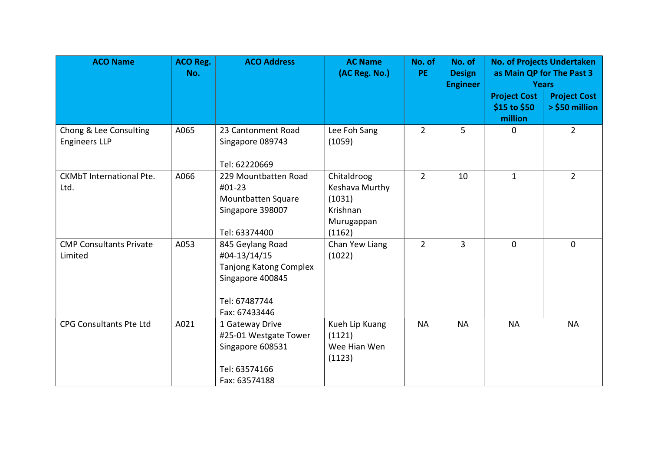| <b>ACO Name</b>                                | <b>ACO Reg.</b><br>No. | <b>ACO Address</b>                                                                                               | <b>AC Name</b><br>(AC Reg. No.)                                             | No. of<br><b>PE</b> | No. of<br><b>Design</b> |                                                                | <b>No. of Projects Undertaken</b><br>as Main QP for The Past 3 |
|------------------------------------------------|------------------------|------------------------------------------------------------------------------------------------------------------|-----------------------------------------------------------------------------|---------------------|-------------------------|----------------------------------------------------------------|----------------------------------------------------------------|
|                                                |                        |                                                                                                                  |                                                                             |                     | <b>Engineer</b>         | <b>Years</b><br><b>Project Cost</b><br>\$15 to \$50<br>million | <b>Project Cost</b><br>> \$50 million                          |
| Chong & Lee Consulting<br><b>Engineers LLP</b> | A065                   | 23 Cantonment Road<br>Singapore 089743<br>Tel: 62220669                                                          | Lee Foh Sang<br>(1059)                                                      | $\overline{2}$      | 5                       | $\Omega$                                                       | $\overline{2}$                                                 |
| <b>CKMbT</b> International Pte.<br>Ltd.        | A066                   | 229 Mountbatten Road<br>#01-23<br>Mountbatten Square<br>Singapore 398007<br>Tel: 63374400                        | Chitaldroog<br>Keshava Murthy<br>(1031)<br>Krishnan<br>Murugappan<br>(1162) | $\overline{2}$      | 10                      | $\mathbf{1}$                                                   | $\overline{2}$                                                 |
| <b>CMP Consultants Private</b><br>Limited      | A053                   | 845 Geylang Road<br>#04-13/14/15<br>Tanjong Katong Complex<br>Singapore 400845<br>Tel: 67487744<br>Fax: 67433446 | Chan Yew Liang<br>(1022)                                                    | $2^{\circ}$         | $\overline{3}$          | $\mathbf{0}$                                                   | $\Omega$                                                       |
| <b>CPG Consultants Pte Ltd</b>                 | A021                   | 1 Gateway Drive<br>#25-01 Westgate Tower<br>Singapore 608531<br>Tel: 63574166<br>Fax: 63574188                   | Kueh Lip Kuang<br>(1121)<br>Wee Hian Wen<br>(1123)                          | <b>NA</b>           | <b>NA</b>               | <b>NA</b>                                                      | <b>NA</b>                                                      |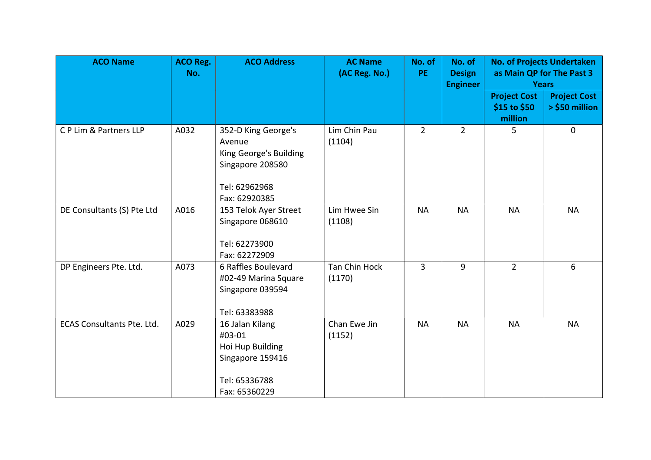| <b>ACO Name</b>                   | <b>ACO Reg.</b><br>No. | <b>ACO Address</b>                                                                                            | <b>AC Name</b><br>(AC Reg. No.) | No. of<br>PE.  | No. of<br><b>Design</b><br><b>Engineer</b> |                                                | <b>No. of Projects Undertaken</b><br>as Main QP for The Past 3<br><b>Years</b> |
|-----------------------------------|------------------------|---------------------------------------------------------------------------------------------------------------|---------------------------------|----------------|--------------------------------------------|------------------------------------------------|--------------------------------------------------------------------------------|
|                                   |                        |                                                                                                               |                                 |                |                                            | <b>Project Cost</b><br>\$15 to \$50<br>million | <b>Project Cost</b><br>> \$50 million                                          |
| C P Lim & Partners LLP            | A032                   | 352-D King George's<br>Avenue<br>King George's Building<br>Singapore 208580<br>Tel: 62962968<br>Fax: 62920385 | Lim Chin Pau<br>(1104)          | $\overline{2}$ | $\overline{2}$                             | 5                                              | $\mathbf 0$                                                                    |
| DE Consultants (S) Pte Ltd        | A016                   | 153 Telok Ayer Street<br>Singapore 068610<br>Tel: 62273900<br>Fax: 62272909                                   | Lim Hwee Sin<br>(1108)          | <b>NA</b>      | <b>NA</b>                                  | <b>NA</b>                                      | <b>NA</b>                                                                      |
| DP Engineers Pte. Ltd.            | A073                   | 6 Raffles Boulevard<br>#02-49 Marina Square<br>Singapore 039594<br>Tel: 63383988                              | Tan Chin Hock<br>(1170)         | $\overline{3}$ | 9                                          | $\overline{2}$                                 | 6                                                                              |
| <b>ECAS Consultants Pte. Ltd.</b> | A029                   | 16 Jalan Kilang<br>#03-01<br>Hoi Hup Building<br>Singapore 159416<br>Tel: 65336788<br>Fax: 65360229           | Chan Ewe Jin<br>(1152)          | <b>NA</b>      | <b>NA</b>                                  | <b>NA</b>                                      | <b>NA</b>                                                                      |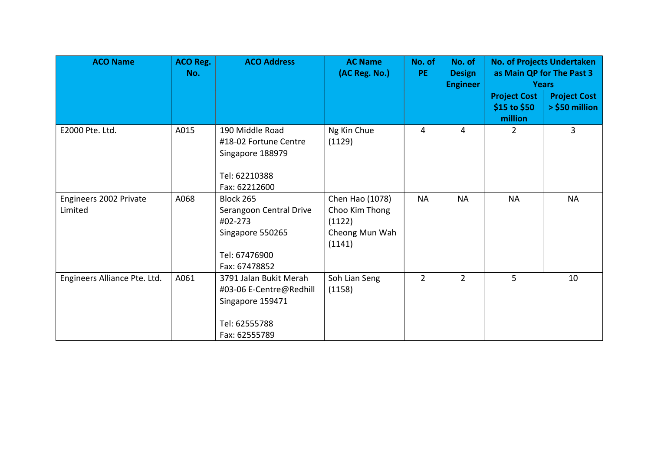| <b>ACO Name</b>                   | <b>ACO Reg.</b><br>No. | <b>ACO Address</b>                                                                                      | <b>AC Name</b><br>(AC Reg. No.)                                         | No. of<br>PE.  | No. of<br><b>Design</b><br><b>Engineer</b> | <b>Years</b>                                   | <b>No. of Projects Undertaken</b><br>as Main QP for The Past 3 |
|-----------------------------------|------------------------|---------------------------------------------------------------------------------------------------------|-------------------------------------------------------------------------|----------------|--------------------------------------------|------------------------------------------------|----------------------------------------------------------------|
|                                   |                        |                                                                                                         |                                                                         |                |                                            | <b>Project Cost</b><br>\$15 to \$50<br>million | <b>Project Cost</b><br>> \$50 million                          |
| E2000 Pte. Ltd.                   | A015                   | 190 Middle Road<br>#18-02 Fortune Centre<br>Singapore 188979<br>Tel: 62210388<br>Fax: 62212600          | Ng Kin Chue<br>(1129)                                                   | 4              | 4                                          | 2                                              | $\overline{3}$                                                 |
| Engineers 2002 Private<br>Limited | A068                   | Block 265<br>Serangoon Central Drive<br>#02-273<br>Singapore 550265<br>Tel: 67476900<br>Fax: 67478852   | Chen Hao (1078)<br>Choo Kim Thong<br>(1122)<br>Cheong Mun Wah<br>(1141) | <b>NA</b>      | <b>NA</b>                                  | <b>NA</b>                                      | <b>NA</b>                                                      |
| Engineers Alliance Pte. Ltd.      | A061                   | 3791 Jalan Bukit Merah<br>#03-06 E-Centre@Redhill<br>Singapore 159471<br>Tel: 62555788<br>Fax: 62555789 | Soh Lian Seng<br>(1158)                                                 | $\overline{2}$ | $\overline{2}$                             | 5                                              | 10                                                             |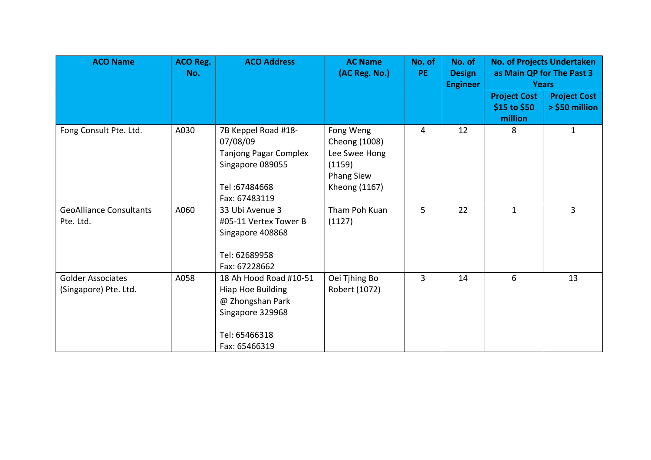| <b>ACO Name</b>                                   | <b>ACO Reg.</b><br>No. | <b>ACO Address</b>                                                                                                    | <b>AC Name</b><br>(AC Reg. No.)                                                             | No. of<br><b>PE</b> | No. of<br><b>Design</b><br><b>Engineer</b> |                                                | <b>No. of Projects Undertaken</b><br>as Main QP for The Past 3<br><b>Years</b> |
|---------------------------------------------------|------------------------|-----------------------------------------------------------------------------------------------------------------------|---------------------------------------------------------------------------------------------|---------------------|--------------------------------------------|------------------------------------------------|--------------------------------------------------------------------------------|
|                                                   |                        |                                                                                                                       |                                                                                             |                     |                                            | <b>Project Cost</b><br>\$15 to \$50<br>million | <b>Project Cost</b><br>> \$50 million                                          |
| Fong Consult Pte. Ltd.                            | A030                   | 7B Keppel Road #18-<br>07/08/09<br><b>Tanjong Pagar Complex</b><br>Singapore 089055<br>Tel: 67484668<br>Fax: 67483119 | Fong Weng<br>Cheong (1008)<br>Lee Swee Hong<br>(1159)<br><b>Phang Siew</b><br>Kheong (1167) | 4                   | 12                                         | 8                                              | $\mathbf{1}$                                                                   |
| <b>GeoAlliance Consultants</b><br>Pte. Ltd.       | A060                   | 33 Ubi Avenue 3<br>#05-11 Vertex Tower B<br>Singapore 408868<br>Tel: 62689958<br>Fax: 67228662                        | Tham Poh Kuan<br>(1127)                                                                     | 5                   | 22                                         | $\mathbf{1}$                                   | 3                                                                              |
| <b>Golder Associates</b><br>(Singapore) Pte. Ltd. | A058                   | 18 Ah Hood Road #10-51<br>Hiap Hoe Building<br>@ Zhongshan Park<br>Singapore 329968<br>Tel: 65466318<br>Fax: 65466319 | Oei Tjhing Bo<br>Robert (1072)                                                              | 3                   | 14                                         | 6                                              | 13                                                                             |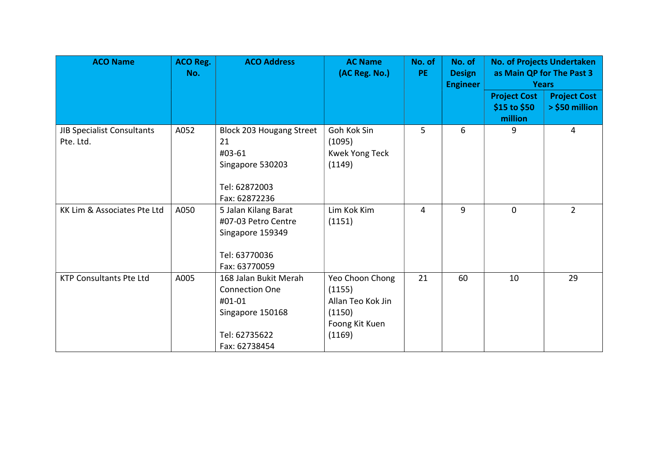| <b>ACO Name</b>                         | <b>ACO Reg.</b><br>No. | <b>ACO Address</b>                                                                                             | <b>AC Name</b><br>(AC Reg. No.)                                                      | No. of<br><b>PE</b> | No. of<br><b>Design</b><br><b>Engineer</b> |                                                | <b>No. of Projects Undertaken</b><br>as Main QP for The Past 3<br><b>Years</b> |
|-----------------------------------------|------------------------|----------------------------------------------------------------------------------------------------------------|--------------------------------------------------------------------------------------|---------------------|--------------------------------------------|------------------------------------------------|--------------------------------------------------------------------------------|
|                                         |                        |                                                                                                                |                                                                                      |                     |                                            | <b>Project Cost</b><br>\$15 to \$50<br>million | <b>Project Cost</b><br>> \$50 million                                          |
| JIB Specialist Consultants<br>Pte. Ltd. | A052                   | Block 203 Hougang Street<br>21<br>#03-61<br>Singapore 530203<br>Tel: 62872003<br>Fax: 62872236                 | Goh Kok Sin<br>(1095)<br>Kwek Yong Teck<br>(1149)                                    | 5                   | 6                                          | 9                                              | 4                                                                              |
| KK Lim & Associates Pte Ltd             | A050                   | 5 Jalan Kilang Barat<br>#07-03 Petro Centre<br>Singapore 159349<br>Tel: 63770036<br>Fax: 63770059              | Lim Kok Kim<br>(1151)                                                                | 4                   | 9                                          | $\mathbf{0}$                                   | $\overline{2}$                                                                 |
| <b>KTP Consultants Pte Ltd</b>          | A005                   | 168 Jalan Bukit Merah<br><b>Connection One</b><br>#01-01<br>Singapore 150168<br>Tel: 62735622<br>Fax: 62738454 | Yeo Choon Chong<br>(1155)<br>Allan Teo Kok Jin<br>(1150)<br>Foong Kit Kuen<br>(1169) | 21                  | 60                                         | 10                                             | 29                                                                             |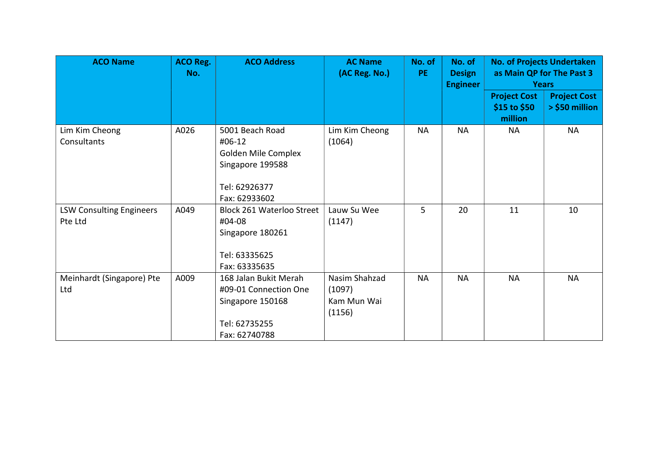| <b>ACO Name</b>                            | <b>ACO Reg.</b><br>No. | <b>ACO Address</b>                                                                                     | <b>AC Name</b><br>(AC Reg. No.)                  | No. of<br>PE. | No. of<br><b>Design</b><br><b>Engineer</b> | <b>No. of Projects Undertaken</b><br><b>Years</b> | as Main QP for The Past 3             |
|--------------------------------------------|------------------------|--------------------------------------------------------------------------------------------------------|--------------------------------------------------|---------------|--------------------------------------------|---------------------------------------------------|---------------------------------------|
|                                            |                        |                                                                                                        |                                                  |               |                                            | <b>Project Cost</b><br>\$15 to \$50<br>million    | <b>Project Cost</b><br>> \$50 million |
| Lim Kim Cheong<br>Consultants              | A026                   | 5001 Beach Road<br>#06-12<br>Golden Mile Complex<br>Singapore 199588<br>Tel: 62926377<br>Fax: 62933602 | Lim Kim Cheong<br>(1064)                         | <b>NA</b>     | <b>NA</b>                                  | <b>NA</b>                                         | <b>NA</b>                             |
| <b>LSW Consulting Engineers</b><br>Pte Ltd | A049                   | <b>Block 261 Waterloo Street</b><br>#04-08<br>Singapore 180261<br>Tel: 63335625<br>Fax: 63335635       | Lauw Su Wee<br>(1147)                            | 5             | 20                                         | 11                                                | 10                                    |
| Meinhardt (Singapore) Pte<br>Ltd           | A009                   | 168 Jalan Bukit Merah<br>#09-01 Connection One<br>Singapore 150168<br>Tel: 62735255<br>Fax: 62740788   | Nasim Shahzad<br>(1097)<br>Kam Mun Wai<br>(1156) | <b>NA</b>     | <b>NA</b>                                  | <b>NA</b>                                         | <b>NA</b>                             |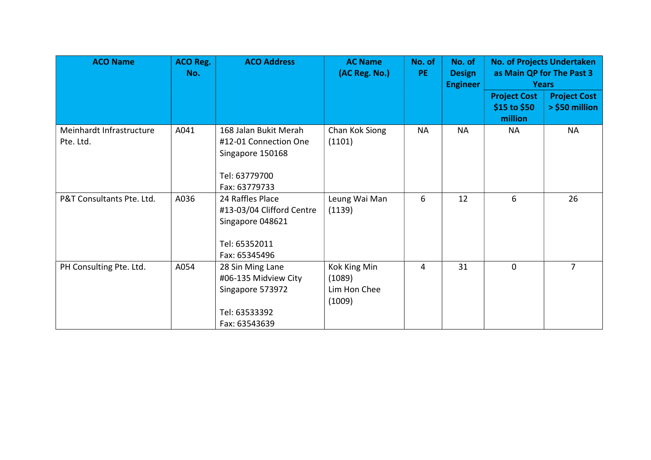| <b>ACO Name</b>                       | <b>ACO Reg.</b><br>No. | <b>ACO Address</b>                                                                                   | <b>AC Name</b><br>(AC Reg. No.)                  | No. of<br>PE. | No. of<br><b>Design</b><br><b>Engineer</b> |                                                | <b>No. of Projects Undertaken</b><br>as Main QP for The Past 3<br><b>Years</b> |
|---------------------------------------|------------------------|------------------------------------------------------------------------------------------------------|--------------------------------------------------|---------------|--------------------------------------------|------------------------------------------------|--------------------------------------------------------------------------------|
|                                       |                        |                                                                                                      |                                                  |               |                                            | <b>Project Cost</b><br>\$15 to \$50<br>million | <b>Project Cost</b><br>> \$50 million                                          |
| Meinhardt Infrastructure<br>Pte. Ltd. | A041                   | 168 Jalan Bukit Merah<br>#12-01 Connection One<br>Singapore 150168<br>Tel: 63779700<br>Fax: 63779733 | Chan Kok Siong<br>(1101)                         | <b>NA</b>     | <b>NA</b>                                  | <b>NA</b>                                      | <b>NA</b>                                                                      |
| P&T Consultants Pte. Ltd.             | A036                   | 24 Raffles Place<br>#13-03/04 Clifford Centre<br>Singapore 048621<br>Tel: 65352011<br>Fax: 65345496  | Leung Wai Man<br>(1139)                          | 6             | 12                                         | 6                                              | 26                                                                             |
| PH Consulting Pte. Ltd.               | A054                   | 28 Sin Ming Lane<br>#06-135 Midview City<br>Singapore 573972<br>Tel: 63533392<br>Fax: 63543639       | Kok King Min<br>(1089)<br>Lim Hon Chee<br>(1009) | 4             | 31                                         | $\mathbf 0$                                    | $\overline{7}$                                                                 |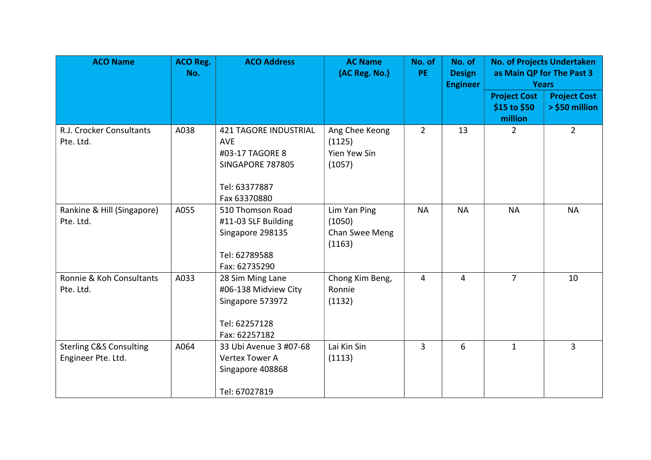| <b>ACO Name</b>                                          | <b>ACO Reg.</b><br>No. | <b>ACO Address</b>                                                                                                        | <b>AC Name</b><br>(AC Reg. No.)                           | No. of<br>PE.  | No. of<br><b>Design</b><br><b>Engineer</b> | <b>No. of Projects Undertaken</b><br>as Main QP for The Past 3<br><b>Years</b> |                                       |
|----------------------------------------------------------|------------------------|---------------------------------------------------------------------------------------------------------------------------|-----------------------------------------------------------|----------------|--------------------------------------------|--------------------------------------------------------------------------------|---------------------------------------|
|                                                          |                        |                                                                                                                           |                                                           |                |                                            | <b>Project Cost</b><br>\$15 to \$50<br>million                                 | <b>Project Cost</b><br>> \$50 million |
| R.J. Crocker Consultants<br>Pte. Ltd.                    | A038                   | <b>421 TAGORE INDUSTRIAL</b><br><b>AVE</b><br>#03-17 TAGORE 8<br><b>SINGAPORE 787805</b><br>Tel: 63377887<br>Fax 63370880 | Ang Chee Keong<br>(1125)<br><b>Yien Yew Sin</b><br>(1057) | $\overline{2}$ | 13                                         | 2                                                                              | $\overline{2}$                        |
| Rankine & Hill (Singapore)<br>Pte. Ltd.                  | A055                   | 510 Thomson Road<br>#11-03 SLF Building<br>Singapore 298135<br>Tel: 62789588<br>Fax: 62735290                             | Lim Yan Ping<br>(1050)<br>Chan Swee Meng<br>(1163)        | <b>NA</b>      | <b>NA</b>                                  | <b>NA</b>                                                                      | <b>NA</b>                             |
| Ronnie & Koh Consultants<br>Pte. Ltd.                    | A033                   | 28 Sim Ming Lane<br>#06-138 Midview City<br>Singapore 573972<br>Tel: 62257128<br>Fax: 62257182                            | Chong Kim Beng,<br>Ronnie<br>(1132)                       | 4              | 4                                          | $\overline{7}$                                                                 | 10                                    |
| <b>Sterling C&amp;S Consulting</b><br>Engineer Pte. Ltd. | A064                   | 33 Ubi Avenue 3 #07-68<br>Vertex Tower A<br>Singapore 408868<br>Tel: 67027819                                             | Lai Kin Sin<br>(1113)                                     | $\overline{3}$ | 6                                          | $\mathbf{1}$                                                                   | $\overline{3}$                        |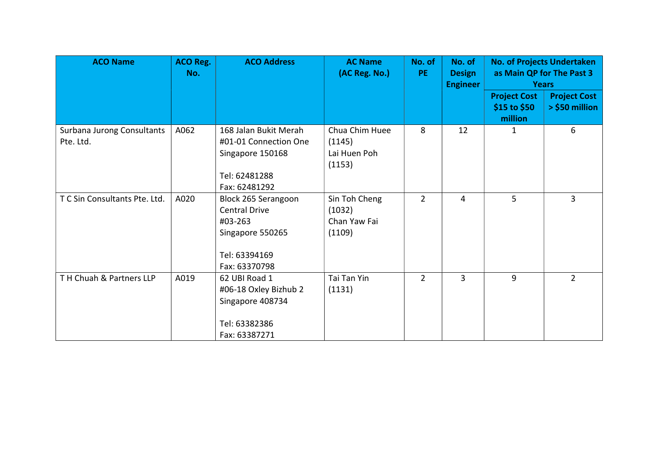| <b>ACO Name</b>                         | <b>ACO Reg.</b><br>No. | <b>ACO Address</b>                                                                                           | <b>AC Name</b><br>(AC Reg. No.)                    | No. of<br>PE.  | No. of<br><b>Design</b><br><b>Engineer</b> |                                                | <b>No. of Projects Undertaken</b><br>as Main QP for The Past 3<br><b>Years</b> |
|-----------------------------------------|------------------------|--------------------------------------------------------------------------------------------------------------|----------------------------------------------------|----------------|--------------------------------------------|------------------------------------------------|--------------------------------------------------------------------------------|
|                                         |                        |                                                                                                              |                                                    |                |                                            | <b>Project Cost</b><br>\$15 to \$50<br>million | <b>Project Cost</b><br>> \$50 million                                          |
| Surbana Jurong Consultants<br>Pte. Ltd. | A062                   | 168 Jalan Bukit Merah<br>#01-01 Connection One<br>Singapore 150168<br>Tel: 62481288<br>Fax: 62481292         | Chua Chim Huee<br>(1145)<br>Lai Huen Poh<br>(1153) | 8              | 12                                         | 1                                              | 6                                                                              |
| T C Sin Consultants Pte. Ltd.           | A020                   | Block 265 Serangoon<br><b>Central Drive</b><br>#03-263<br>Singapore 550265<br>Tel: 63394169<br>Fax: 63370798 | Sin Toh Cheng<br>(1032)<br>Chan Yaw Fai<br>(1109)  | $\overline{2}$ | 4                                          | 5                                              | $\overline{3}$                                                                 |
| TH Chuah & Partners LLP                 | A019                   | 62 UBI Road 1<br>#06-18 Oxley Bizhub 2<br>Singapore 408734<br>Tel: 63382386<br>Fax: 63387271                 | Tai Tan Yin<br>(1131)                              | $\overline{2}$ | 3                                          | 9                                              | $\overline{2}$                                                                 |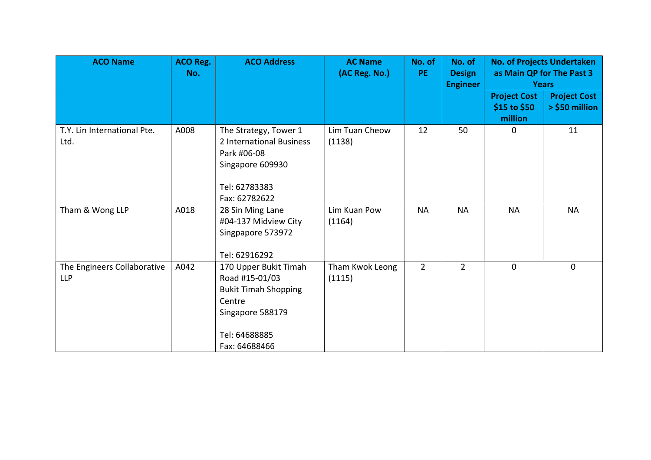| <b>ACO Name</b>                           | <b>ACO Reg.</b><br>No. | <b>ACO Address</b>                                                                                                     | <b>AC Name</b><br>(AC Reg. No.) | No. of<br><b>PE</b> | No. of<br><b>Design</b><br><b>Engineer</b> |                                                | <b>No. of Projects Undertaken</b><br>as Main QP for The Past 3<br><b>Years</b> |  |
|-------------------------------------------|------------------------|------------------------------------------------------------------------------------------------------------------------|---------------------------------|---------------------|--------------------------------------------|------------------------------------------------|--------------------------------------------------------------------------------|--|
|                                           |                        |                                                                                                                        |                                 |                     |                                            | <b>Project Cost</b><br>\$15 to \$50<br>million | <b>Project Cost</b><br>> \$50 million                                          |  |
| T.Y. Lin International Pte.<br>Ltd.       | A008                   | The Strategy, Tower 1<br>2 International Business<br>Park #06-08<br>Singapore 609930<br>Tel: 62783383<br>Fax: 62782622 | Lim Tuan Cheow<br>(1138)        | 12                  | 50                                         | $\mathbf 0$                                    | 11                                                                             |  |
| Tham & Wong LLP                           | A018                   | 28 Sin Ming Lane<br>#04-137 Midview City<br>Singpapore 573972<br>Tel: 62916292                                         | Lim Kuan Pow<br>(1164)          | <b>NA</b>           | <b>NA</b>                                  | <b>NA</b>                                      | <b>NA</b>                                                                      |  |
| The Engineers Collaborative<br><b>LLP</b> | A042                   | 170 Upper Bukit Timah<br>Road #15-01/03<br><b>Bukit Timah Shopping</b><br>Centre<br>Singapore 588179                   | Tham Kwok Leong<br>(1115)       | $2^{\circ}$         | $\overline{2}$                             | $\mathbf 0$                                    | $\mathbf 0$                                                                    |  |
|                                           |                        | Tel: 64688885<br>Fax: 64688466                                                                                         |                                 |                     |                                            |                                                |                                                                                |  |